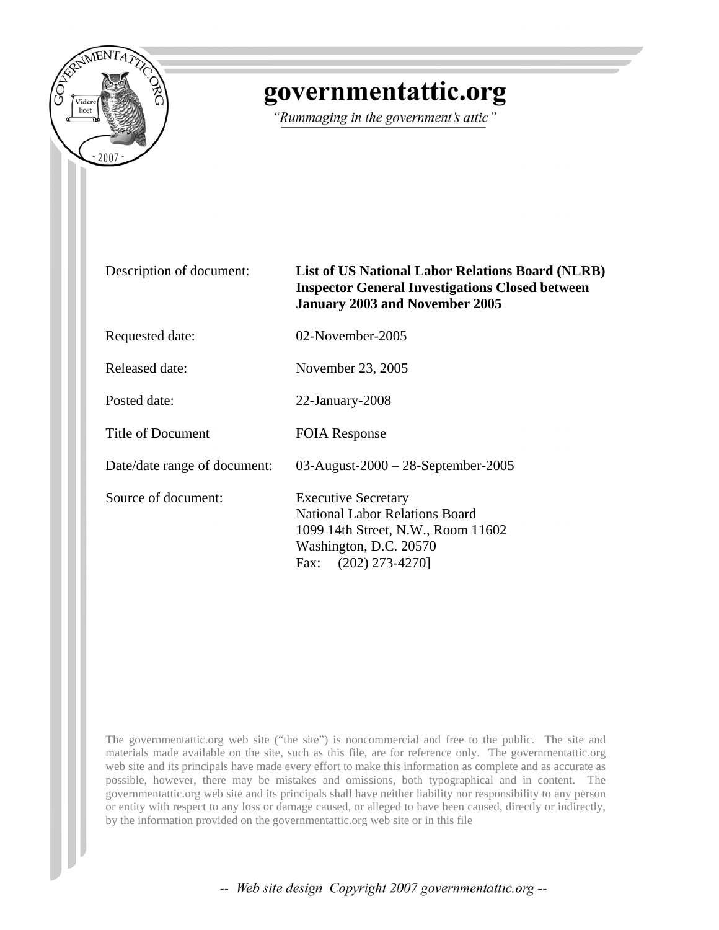

## governmentattic.org

"Rummaging in the government's attic"

Description of document: **List of US National Labor Relations Board (NLRB) Inspector General Investigations Closed between January 2003 and November 2005**

Requested date: 02-November-2005

Released date: November 23, 2005

Posted date: 22-January-2008

Title of Document FOIA Response

Date/date range of document: 03-August-2000 – 28-September-2005

Source of document: Executive Secretary

National Labor Relations Board 1099 14th Street, N.W., Room 11602 Washington, D.C. 20570 Fax: (202) 273-4270]

The governmentattic.org web site ("the site") is noncommercial and free to the public. The site and materials made available on the site, such as this file, are for reference only. The governmentattic.org web site and its principals have made every effort to make this information as complete and as accurate as possible, however, there may be mistakes and omissions, both typographical and in content. The governmentattic.org web site and its principals shall have neither liability nor responsibility to any person or entity with respect to any loss or damage caused, or alleged to have been caused, directly or indirectly, by the information provided on the governmentattic.org web site or in this file

-- Web site design Copyright 2007 governmentattic.org --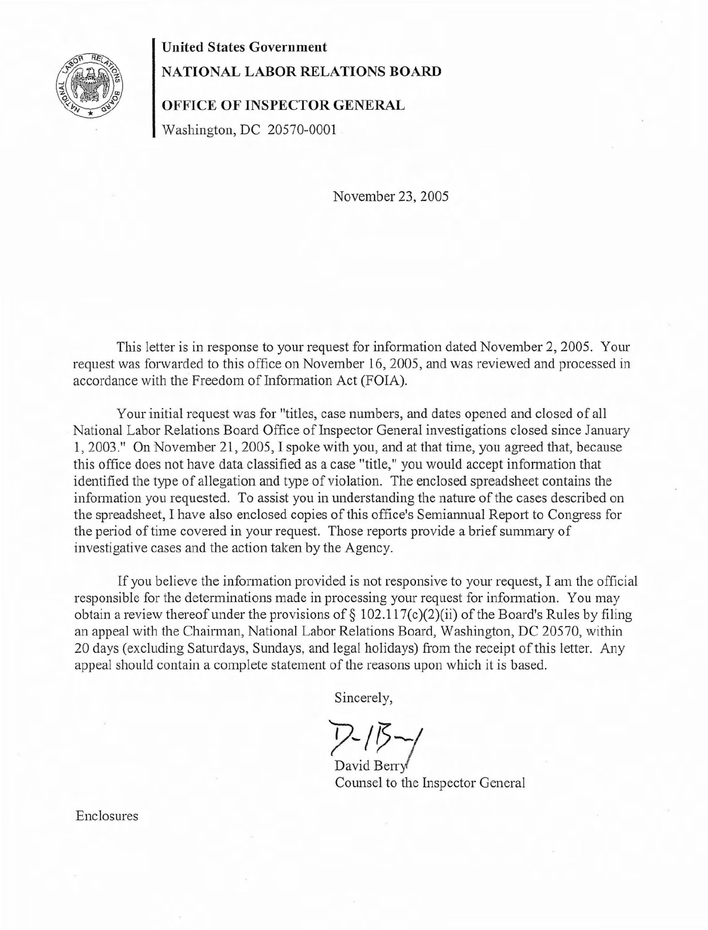

## **United** States **Government**

## **NATIONAL LABOR RELATIONS BOARD**

**OFFICE OF INSPECTOR GENERAL**

Washington, DC 20570-0001

November 23, 2005

This letter is in response to your request for information dated November 2, 2005. Your request was forwarded to this office on November 16,2005, and was reviewed and processed in accordance with the Freedom of Information Act (FOIA).

Your initial request was for "titles, case numbers, and dates opened and closed of all National Labor Relations Board Office of Inspector General investigations closed since January 1,2003." On November 21,2005, I spoke with you, and at that time, you agreed that, because this office does not have data classified as a case "title," you would accept information that identified the type of allegation and type of violation. The enclosed spreadsheet contains the information you requested. To assist you in understanding the nature of the cases described on the spreadsheet, I have also enclosed copies of this office's Semiannual Report to Congress for the period of time covered in your request. Those reports provide a brief summary of investigative cases and the action taken by the Agency.

If you believe the information provided is not responsive to your request, I am the official responsible for the determinations made in processing your request for information. You may obtain a review thereof under the provisions of  $\S$  102.117(c)(2)(ii) of the Board's Rules by filing an appeal with the Chairman, National Labor Relations Board, Washington, DC 20570, within 20 days (excluding Saturdays, Sundays, and legal holidays) from the receipt of this letter. Any appeal should contain a complete statement of the reasons upon which it is based.

Sincerely,

David Berry Counsel to the Inspector General

Enclosures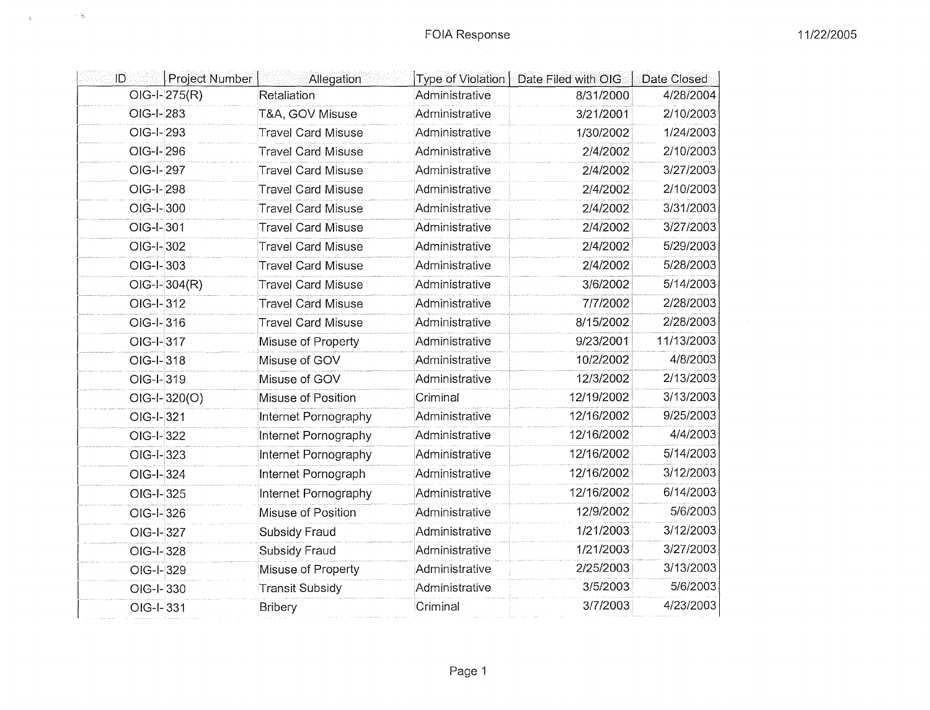| ID          | Project Number | Allegation                | Type of Violation | Date Filed with OIG | Date Closed |
|-------------|----------------|---------------------------|-------------------|---------------------|-------------|
|             | $OIG-I-275(R)$ | Retaliation               | Administrative    | 8/31/2000           | 4/28/2004   |
| OIG-I-283   |                | T&A, GOV Misuse           | Administrative    | 3/21/2001           | 2/10/2003   |
| OIG-I-293   |                | <b>Travel Card Misuse</b> | Administrative    | 1/30/2002           | 1/24/2003   |
| OIG-I-296   |                | <b>Travel Card Misuse</b> | Administrative    | 2/4/2002            | 2/10/2003   |
| OIG-I-297   |                | <b>Travel Card Misuse</b> | Administrative    | 2/4/2002            | 3/27/2003   |
| OIG-I-298   |                | <b>Travel Card Misuse</b> | Administrative    | 2/4/2002            | 2/10/2003   |
| OIG-I-300   |                | <b>Travel Card Misuse</b> | Administrative    | 2/4/2002            | 3/31/2003   |
| OIG-I-301   |                | <b>Travel Card Misuse</b> | Administrative    | 2/4/2002            | 3/27/2003   |
| OIG-I-302   |                | <b>Travel Card Misuse</b> | Administrative    | 2/4/2002            | 5/29/2003   |
| OIG-I-303   |                | <b>Travel Card Misuse</b> | Administrative    | 2/4/2002            | 5/28/2003   |
|             | $OIG-I-304(R)$ | <b>Travel Card Misuse</b> | Administrative    | 3/6/2002            | 5/14/2003   |
| $OIG-I-312$ |                | <b>Travel Card Misuse</b> | Administrative    | 7/7/2002            | 2/28/2003   |
| OIG-I-316   |                | <b>Travel Card Misuse</b> | Administrative    | 8/15/2002           | 2/28/2003   |
| OIG-I-317   |                | Misuse of Property        | Administrative    | 9/23/2001           | 11/13/2003  |
| OIG-I-318   |                | Misuse of GOV             | Administrative    | 10/2/2002           | 4/8/2003    |
| OIG-I-319   |                | Misuse of GOV             | Administrative    | 12/3/2002           | 2/13/2003   |
|             | $OIG-I-320(O)$ | Misuse of Position        | Criminal          | 12/19/2002          | 3/13/2003   |
| OIG-I-321   |                | Internet Pornography      | Administrative    | 12/16/2002          | 9/25/2003   |
| OIG-I-322   |                | Internet Pornography      | Administrative    | 12/16/2002          | 4/4/2003    |
| OIG-I-323   |                | Internet Pornography      | Administrative    | 12/16/2002          | 5/14/2003   |
| OIG-I-324   |                | Internet Pornograph       | Administrative    | 12/16/2002          | 3/12/2003   |
| OIG-I-325   |                | Internet Pornography      | Administrative    | 12/16/2002          | 6/14/2003   |
| OIG-I-326   |                | Misuse of Position        | Administrative    | 12/9/2002           | 5/6/2003    |
| OIG-I-327   |                | Subsidy Fraud             | Administrative    | 1/21/2003           | 3/12/2003   |
| OIG-I-328   |                | Subsidy Fraud             | Administrative    | 1/21/2003           | 3/27/2003   |
| OIG-I-329   |                | Misuse of Property        | Administrative    | 2/25/2003           | 3/13/2003   |
| OIG-I-330   |                | <b>Transit Subsidy</b>    | Administrative    | 3/5/2003            | 5/6/2003    |
| OIG-I-331   |                | <b>Bribery</b>            | Criminal          | 3/7/2003            | 4/23/2003   |
|             |                |                           |                   |                     |             |

 $\mathbb{Q}^{\mathbb{Z}^n} \times \mathbb{Q}^{\mathbb{Z}^n} \times \mathbb{Q}^{\mathbb{Z}^n}$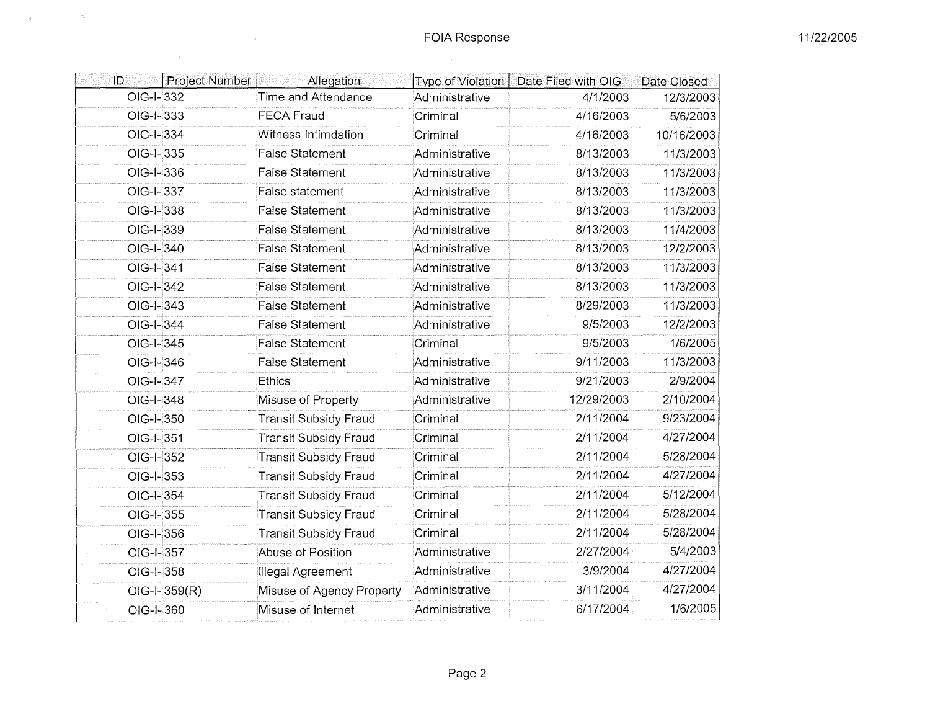| ID          | Project Number | Allegation                   | Type of Violation | Date Filed with OIG | Date Closed |
|-------------|----------------|------------------------------|-------------------|---------------------|-------------|
| OIG-I-332   |                | Time and Attendance          | Administrative    | 4/1/2003            | 12/3/2003   |
| $OIG-I-333$ |                | <b>FECA Fraud</b>            | Criminal          | 4/16/2003           | 5/6/2003    |
| OIG-I-334   |                | Witness Intimdation          | Criminal          | 4/16/2003           | 10/16/2003  |
| $OIG-I-335$ |                | <b>False Statement</b>       | Administrative    | 8/13/2003           | 11/3/2003   |
| OIG-I-336   |                | <b>False Statement</b>       | Administrative    | 8/13/2003           | 11/3/2003   |
| OIG-I-337   |                | False statement              | Administrative    | 8/13/2003           | 11/3/2003   |
| OIG-I-338   |                | <b>False Statement</b>       | Administrative    | 8/13/2003           | 11/3/2003   |
| $OIG-I-339$ |                | <b>False Statement</b>       | Administrative    | 8/13/2003           | 11/4/2003   |
| OIG-I-340   |                | False Statement              | Administrative    | 8/13/2003           | 12/2/2003   |
| OIG-I-341   |                | <b>False Statement</b>       | Administrative    | 8/13/2003           | 11/3/2003   |
| OIG-I-342   |                | False Statement              | Administrative    | 8/13/2003           | 11/3/2003   |
| OIG-I-343   |                | <b>False Statement</b>       | Administrative    | 8/29/2003           | 11/3/2003   |
| OIG-I-344   |                | False Statement              | Administrative    | 9/5/2003            | 12/2/2003   |
| OIG-I-345   |                | <b>False Statement</b>       | Criminal          | 9/5/2003            | 1/6/2005    |
| OIG-I-346   |                | <b>False Statement</b>       | Administrative    | 9/11/2003           | 11/3/2003   |
| OIG-I-347   |                | Ethics                       | Administrative    | 9/21/2003           | 2/9/2004    |
| $OIG-I-348$ |                | Misuse of Property           | Administrative    | 12/29/2003          | 2/10/2004   |
| OIG-I-350   |                | <b>Transit Subsidy Fraud</b> | Criminal          | 2/11/2004           | 9/23/2004   |
| OIG-I-351   |                | <b>Transit Subsidy Fraud</b> | Criminal          | 2/11/2004           | 4/27/2004   |
| OIG-I-352   |                | <b>Transit Subsidy Fraud</b> | Criminal          | 2/11/2004           | 5/28/2004   |
| OIG-I-353   |                | <b>Transit Subsidy Fraud</b> | Criminal          | 2/11/2004           | 4/27/2004   |
| $OIG-I-354$ |                | <b>Transit Subsidy Fraud</b> | Criminal          | 2/11/2004           | 5/12/2004   |
| OIG-I-355   |                | <b>Transit Subsidy Fraud</b> | Criminal          | 2/11/2004           | 5/28/2004   |
| OIG-I-356   |                | <b>Transit Subsidy Fraud</b> | Criminal          | 2/11/2004           | 5/28/2004   |
| OIG-I-357   |                | Abuse of Position            | Administrative    | 2/27/2004           | 5/4/2003    |
| OIG-I-358   |                | Illegal Agreement            | Administrative    | 3/9/2004            | 4/27/2004   |
|             | $OIG-I-359(R)$ | Misuse of Agency Property    | Administrative    | 3/11/2004           | 4/27/2004   |
| OIG-I-360   |                | Misuse of Internet           | Administrative    | 6/17/2004           | 1/6/2005    |
|             |                |                              |                   |                     |             |

 $\frac{d\mathbf{r}}{d\mathbf{r}} = \frac{1}{\sqrt{2\pi}}\sum_{i=1}^{N} \frac{d\mathbf{r}}{d\mathbf{r}} \label{eq:1}$